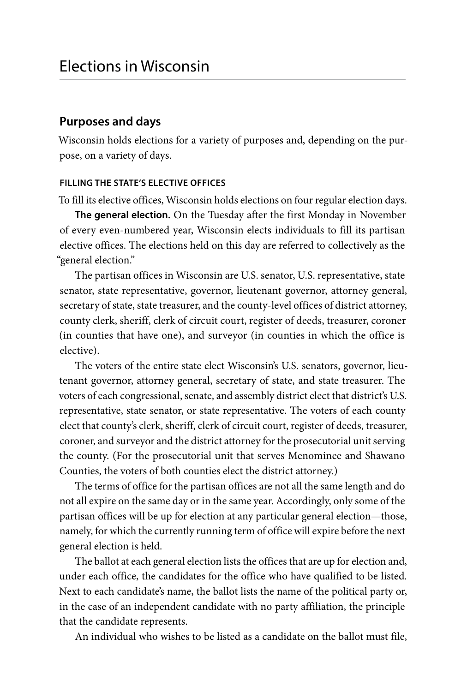# **Purposes and days**

Wisconsin holds elections for a variety of purposes and, depending on the purpose, on a variety of days.

## **FILLING THE STATE'S ELECTIVE OFFICES**

To fill its elective offices, Wisconsin holds elections on four regular election days.

**The general election.** On the Tuesday after the first Monday in November of every even-numbered year, Wisconsin elects individuals to fill its partisan elective offices. The elections held on this day are referred to collectively as the "general election."

The partisan offices in Wisconsin are U.S. senator, U.S. representative, state senator, state representative, governor, lieutenant governor, attorney general, secretary of state, state treasurer, and the county-level offices of district attorney, county clerk, sheriff, clerk of circuit court, register of deeds, treasurer, coroner (in counties that have one), and surveyor (in counties in which the office is elective).

The voters of the entire state elect Wisconsin's U.S. senators, governor, lieutenant governor, attorney general, secretary of state, and state treasurer. The voters of each congressional, senate, and assembly district elect that district's U.S. representative, state senator, or state representative. The voters of each county elect that county's clerk, sheriff, clerk of circuit court, register of deeds, treasurer, coroner, and surveyor and the district attorney for the prosecutorial unit serving the county. (For the prosecutorial unit that serves Menominee and Shawano Counties, the voters of both counties elect the district attorney.)

The terms of office for the partisan offices are not all the same length and do not all expire on the same day or in the same year. Accordingly, only some of the partisan offices will be up for election at any particular general election—those, namely, for which the currently running term of office will expire before the next general election is held.

The ballot at each general election lists the offices that are up for election and, under each office, the candidates for the office who have qualified to be listed. Next to each candidate's name, the ballot lists the name of the political party or, in the case of an independent candidate with no party affiliation, the principle that the candidate represents.

An individual who wishes to be listed as a candidate on the ballot must file,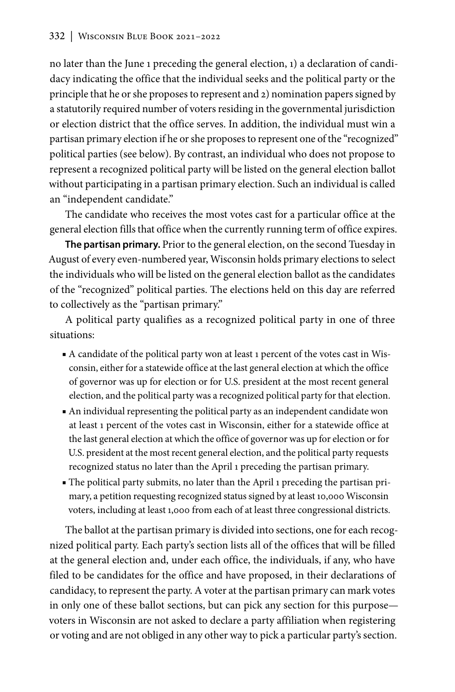no later than the June 1 preceding the general election, 1) a declaration of candidacy indicating the office that the individual seeks and the political party or the principle that he or she proposes to represent and 2) nomination papers signed by a statutorily required number of voters residing in the governmental jurisdiction or election district that the office serves. In addition, the individual must win a partisan primary election if he or she proposes to represent one of the "recognized" political parties (see below). By contrast, an individual who does not propose to represent a recognized political party will be listed on the general election ballot without participating in a partisan primary election. Such an individual is called an "independent candidate."

The candidate who receives the most votes cast for a particular office at the general election fills that office when the currently running term of office expires.

**The partisan primary.** Prior to the general election, on the second Tuesday in August of every even-numbered year, Wisconsin holds primary elections to select the individuals who will be listed on the general election ballot as the candidates of the "recognized" political parties. The elections held on this day are referred to collectively as the "partisan primary."

A political party qualifies as a recognized political party in one of three situations:

- A candidate of the political party won at least 1 percent of the votes cast in Wisconsin, either for a statewide office at the last general election at which the office of governor was up for election or for U.S. president at the most recent general election, and the political party was a recognized political party for that election.
- An individual representing the political party as an independent candidate won at least 1 percent of the votes cast in Wisconsin, either for a statewide office at the last general election at which the office of governor was up for election or for U.S. president at the most recent general election, and the political party requests recognized status no later than the April 1 preceding the partisan primary.
- The political party submits, no later than the April 1 preceding the partisan primary, a petition requesting recognized status signed by at least 10,000 Wisconsin voters, including at least 1,000 from each of at least three congressional districts.

The ballot at the partisan primary is divided into sections, one for each recognized political party. Each party's section lists all of the offices that will be filled at the general election and, under each office, the individuals, if any, who have filed to be candidates for the office and have proposed, in their declarations of candidacy, to represent the party. A voter at the partisan primary can mark votes in only one of these ballot sections, but can pick any section for this purpose voters in Wisconsin are not asked to declare a party affiliation when registering or voting and are not obliged in any other way to pick a particular party's section.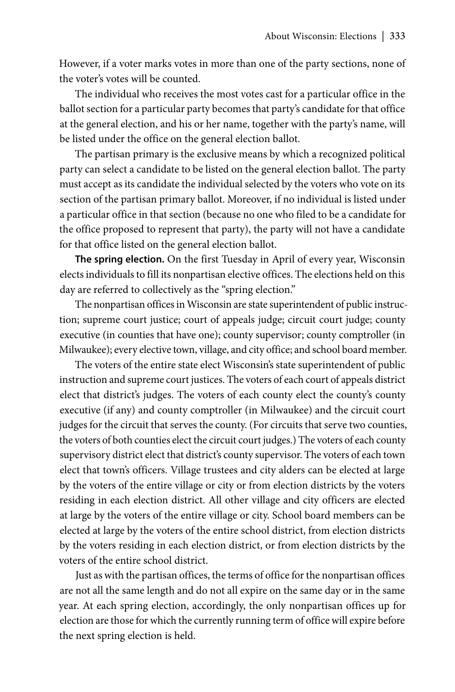However, if a voter marks votes in more than one of the party sections, none of the voter's votes will be counted.

The individual who receives the most votes cast for a particular office in the ballot section for a particular party becomes that party's candidate for that office at the general election, and his or her name, together with the party's name, will be listed under the office on the general election ballot.

The partisan primary is the exclusive means by which a recognized political party can select a candidate to be listed on the general election ballot. The party must accept as its candidate the individual selected by the voters who vote on its section of the partisan primary ballot. Moreover, if no individual is listed under a particular office in that section (because no one who filed to be a candidate for the office proposed to represent that party), the party will not have a candidate for that office listed on the general election ballot.

**The spring election.** On the first Tuesday in April of every year, Wisconsin elects individuals to fill its nonpartisan elective offices. The elections held on this day are referred to collectively as the "spring election."

The nonpartisan offices in Wisconsin are state superintendent of public instruction; supreme court justice; court of appeals judge; circuit court judge; county executive (in counties that have one); county supervisor; county comptroller (in Milwaukee); every elective town, village, and city office; and school board member.

The voters of the entire state elect Wisconsin's state superintendent of public instruction and supreme court justices. The voters of each court of appeals district elect that district's judges. The voters of each county elect the county's county executive (if any) and county comptroller (in Milwaukee) and the circuit court judges for the circuit that serves the county. (For circuits that serve two counties, the voters of both counties elect the circuit court judges.) The voters of each county supervisory district elect that district's county supervisor. The voters of each town elect that town's officers. Village trustees and city alders can be elected at large by the voters of the entire village or city or from election districts by the voters residing in each election district. All other village and city officers are elected at large by the voters of the entire village or city. School board members can be elected at large by the voters of the entire school district, from election districts by the voters residing in each election district, or from election districts by the voters of the entire school district.

Just as with the partisan offices, the terms of office for the nonpartisan offices are not all the same length and do not all expire on the same day or in the same year. At each spring election, accordingly, the only nonpartisan offices up for election are those for which the currently running term of office will expire before the next spring election is held.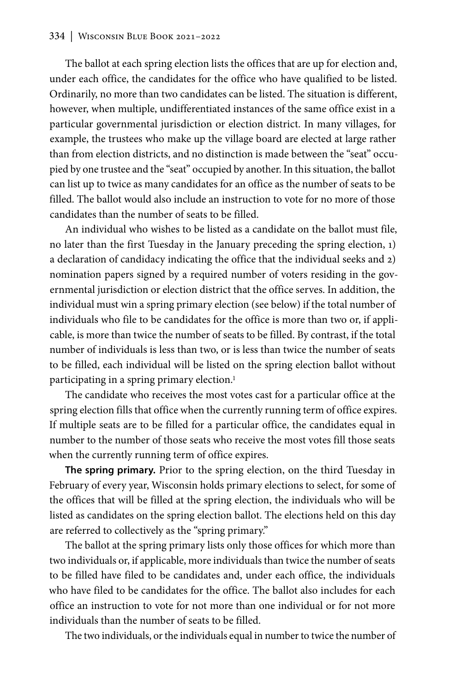The ballot at each spring election lists the offices that are up for election and, under each office, the candidates for the office who have qualified to be listed. Ordinarily, no more than two candidates can be listed. The situation is different, however, when multiple, undifferentiated instances of the same office exist in a particular governmental jurisdiction or election district. In many villages, for example, the trustees who make up the village board are elected at large rather than from election districts, and no distinction is made between the "seat" occupied by one trustee and the "seat" occupied by another. In this situation, the ballot can list up to twice as many candidates for an office as the number of seats to be filled. The ballot would also include an instruction to vote for no more of those candidates than the number of seats to be filled.

An individual who wishes to be listed as a candidate on the ballot must file, no later than the first Tuesday in the January preceding the spring election, 1) a declaration of candidacy indicating the office that the individual seeks and 2) nomination papers signed by a required number of voters residing in the governmental jurisdiction or election district that the office serves. In addition, the individual must win a spring primary election (see below) if the total number of individuals who file to be candidates for the office is more than two or, if applicable, is more than twice the number of seats to be filled. By contrast, if the total number of individuals is less than two, or is less than twice the number of seats to be filled, each individual will be listed on the spring election ballot without participating in a spring primary election.<sup>1</sup>

The candidate who receives the most votes cast for a particular office at the spring election fills that office when the currently running term of office expires. If multiple seats are to be filled for a particular office, the candidates equal in number to the number of those seats who receive the most votes fill those seats when the currently running term of office expires.

**The spring primary.** Prior to the spring election, on the third Tuesday in February of every year, Wisconsin holds primary elections to select, for some of the offices that will be filled at the spring election, the individuals who will be listed as candidates on the spring election ballot. The elections held on this day are referred to collectively as the "spring primary."

The ballot at the spring primary lists only those offices for which more than two individuals or, if applicable, more individuals than twice the number of seats to be filled have filed to be candidates and, under each office, the individuals who have filed to be candidates for the office. The ballot also includes for each office an instruction to vote for not more than one individual or for not more individuals than the number of seats to be filled.

The two individuals, or the individuals equal in number to twice the number of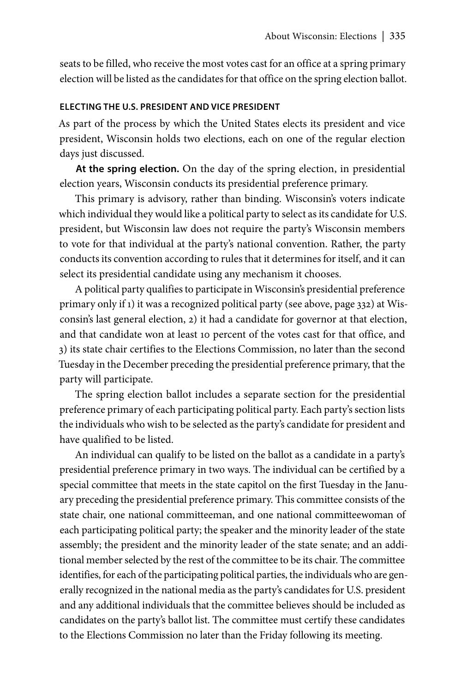seats to be filled, who receive the most votes cast for an office at a spring primary election will be listed as the candidates for that office on the spring election ballot.

### **ELECTING THE U.S. PRESIDENT AND VICE PRESIDENT**

As part of the process by which the United States elects its president and vice president, Wisconsin holds two elections, each on one of the regular election days just discussed.

**At the spring election.** On the day of the spring election, in presidential election years, Wisconsin conducts its presidential preference primary.

This primary is advisory, rather than binding. Wisconsin's voters indicate which individual they would like a political party to select as its candidate for U.S. president, but Wisconsin law does not require the party's Wisconsin members to vote for that individual at the party's national convention. Rather, the party conducts its convention according to rules that it determines for itself, and it can select its presidential candidate using any mechanism it chooses.

A political party qualifies to participate in Wisconsin's presidential preference primary only if 1) it was a recognized political party (see above, page 332) at Wisconsin's last general election, 2) it had a candidate for governor at that election, and that candidate won at least 10 percent of the votes cast for that office, and 3) its state chair certifies to the Elections Commission, no later than the second Tuesday in the December preceding the presidential preference primary, that the party will participate.

The spring election ballot includes a separate section for the presidential preference primary of each participating political party. Each party's section lists the individuals who wish to be selected as the party's candidate for president and have qualified to be listed.

An individual can qualify to be listed on the ballot as a candidate in a party's presidential preference primary in two ways. The individual can be certified by a special committee that meets in the state capitol on the first Tuesday in the January preceding the presidential preference primary. This committee consists of the state chair, one national committeeman, and one national committeewoman of each participating political party; the speaker and the minority leader of the state assembly; the president and the minority leader of the state senate; and an additional member selected by the rest of the committee to be its chair. The committee identifies, for each of the participating political parties, the individuals who are generally recognized in the national media as the party's candidates for U.S. president and any additional individuals that the committee believes should be included as candidates on the party's ballot list. The committee must certify these candidates to the Elections Commission no later than the Friday following its meeting.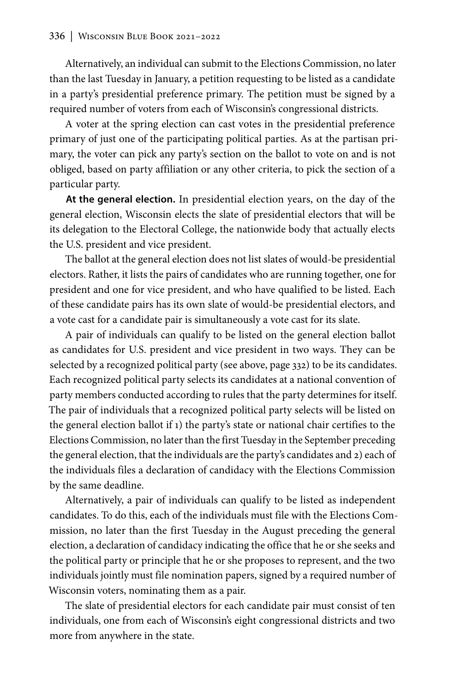Alternatively, an individual can submit to the Elections Commission, no later than the last Tuesday in January, a petition requesting to be listed as a candidate in a party's presidential preference primary. The petition must be signed by a required number of voters from each of Wisconsin's congressional districts.

A voter at the spring election can cast votes in the presidential preference primary of just one of the participating political parties. As at the partisan primary, the voter can pick any party's section on the ballot to vote on and is not obliged, based on party affiliation or any other criteria, to pick the section of a particular party.

**At the general election.** In presidential election years, on the day of the general election, Wisconsin elects the slate of presidential electors that will be its delegation to the Electoral College, the nationwide body that actually elects the U.S. president and vice president.

The ballot at the general election does not list slates of would-be presidential electors. Rather, it lists the pairs of candidates who are running together, one for president and one for vice president, and who have qualified to be listed. Each of these candidate pairs has its own slate of would-be presidential electors, and a vote cast for a candidate pair is simultaneously a vote cast for its slate.

A pair of individuals can qualify to be listed on the general election ballot as candidates for U.S. president and vice president in two ways. They can be selected by a recognized political party (see above, page 332) to be its candidates. Each recognized political party selects its candidates at a national convention of party members conducted according to rules that the party determines for itself. The pair of individuals that a recognized political party selects will be listed on the general election ballot if 1) the party's state or national chair certifies to the Elections Commission, no later than the first Tuesday in the September preceding the general election, that the individuals are the party's candidates and 2) each of the individuals files a declaration of candidacy with the Elections Commission by the same deadline.

Alternatively, a pair of individuals can qualify to be listed as independent candidates. To do this, each of the individuals must file with the Elections Commission, no later than the first Tuesday in the August preceding the general election, a declaration of candidacy indicating the office that he or she seeks and the political party or principle that he or she proposes to represent, and the two individuals jointly must file nomination papers, signed by a required number of Wisconsin voters, nominating them as a pair.

The slate of presidential electors for each candidate pair must consist of ten individuals, one from each of Wisconsin's eight congressional districts and two more from anywhere in the state.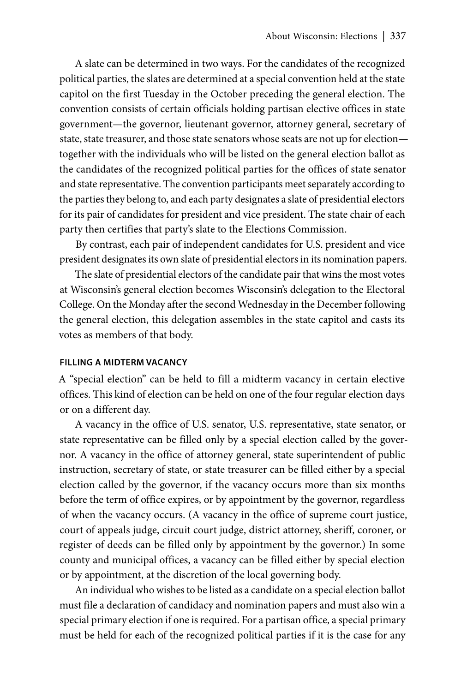A slate can be determined in two ways. For the candidates of the recognized political parties, the slates are determined at a special convention held at the state capitol on the first Tuesday in the October preceding the general election. The convention consists of certain officials holding partisan elective offices in state government—the governor, lieutenant governor, attorney general, secretary of state, state treasurer, and those state senators whose seats are not up for election together with the individuals who will be listed on the general election ballot as the candidates of the recognized political parties for the offices of state senator and state representative. The convention participants meet separately according to the parties they belong to, and each party designates a slate of presidential electors for its pair of candidates for president and vice president. The state chair of each party then certifies that party's slate to the Elections Commission.

By contrast, each pair of independent candidates for U.S. president and vice president designates its own slate of presidential electors in its nomination papers.

The slate of presidential electors of the candidate pair that wins the most votes at Wisconsin's general election becomes Wisconsin's delegation to the Electoral College. On the Monday after the second Wednesday in the December following the general election, this delegation assembles in the state capitol and casts its votes as members of that body.

### **FILLING A MIDTERM VACANCY**

A "special election" can be held to fill a midterm vacancy in certain elective offices. This kind of election can be held on one of the four regular election days or on a different day.

A vacancy in the office of U.S. senator, U.S. representative, state senator, or state representative can be filled only by a special election called by the governor. A vacancy in the office of attorney general, state superintendent of public instruction, secretary of state, or state treasurer can be filled either by a special election called by the governor, if the vacancy occurs more than six months before the term of office expires, or by appointment by the governor, regardless of when the vacancy occurs. (A vacancy in the office of supreme court justice, court of appeals judge, circuit court judge, district attorney, sheriff, coroner, or register of deeds can be filled only by appointment by the governor.) In some county and municipal offices, a vacancy can be filled either by special election or by appointment, at the discretion of the local governing body.

An individual who wishes to be listed as a candidate on a special election ballot must file a declaration of candidacy and nomination papers and must also win a special primary election if one is required. For a partisan office, a special primary must be held for each of the recognized political parties if it is the case for any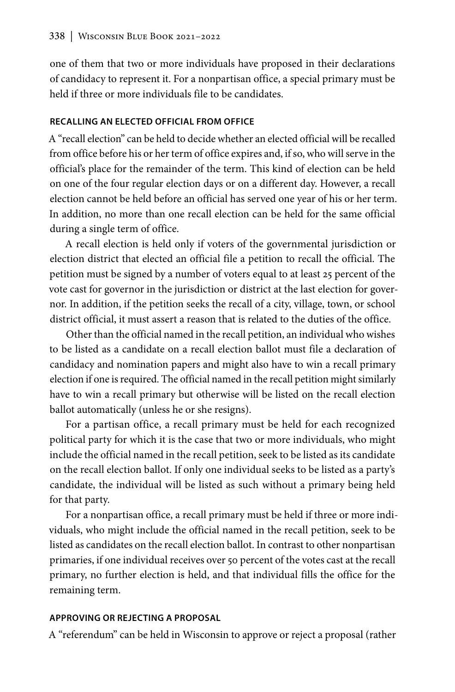one of them that two or more individuals have proposed in their declarations of candidacy to represent it. For a nonpartisan office, a special primary must be held if three or more individuals file to be candidates.

### **RECALLING AN ELECTED OFFICIAL FROM OFFICE**

A "recall election" can be held to decide whether an elected official will be recalled from office before his or her term of office expires and, if so, who will serve in the official's place for the remainder of the term. This kind of election can be held on one of the four regular election days or on a different day. However, a recall election cannot be held before an official has served one year of his or her term. In addition, no more than one recall election can be held for the same official during a single term of office.

A recall election is held only if voters of the governmental jurisdiction or election district that elected an official file a petition to recall the official. The petition must be signed by a number of voters equal to at least 25 percent of the vote cast for governor in the jurisdiction or district at the last election for governor. In addition, if the petition seeks the recall of a city, village, town, or school district official, it must assert a reason that is related to the duties of the office.

Other than the official named in the recall petition, an individual who wishes to be listed as a candidate on a recall election ballot must file a declaration of candidacy and nomination papers and might also have to win a recall primary election if one is required. The official named in the recall petition might similarly have to win a recall primary but otherwise will be listed on the recall election ballot automatically (unless he or she resigns).

For a partisan office, a recall primary must be held for each recognized political party for which it is the case that two or more individuals, who might include the official named in the recall petition, seek to be listed as its candidate on the recall election ballot. If only one individual seeks to be listed as a party's candidate, the individual will be listed as such without a primary being held for that party.

For a nonpartisan office, a recall primary must be held if three or more individuals, who might include the official named in the recall petition, seek to be listed as candidates on the recall election ballot. In contrast to other nonpartisan primaries, if one individual receives over 50 percent of the votes cast at the recall primary, no further election is held, and that individual fills the office for the remaining term.

### **APPROVING OR REJECTING A PROPOSAL**

A "referendum" can be held in Wisconsin to approve or reject a proposal (rather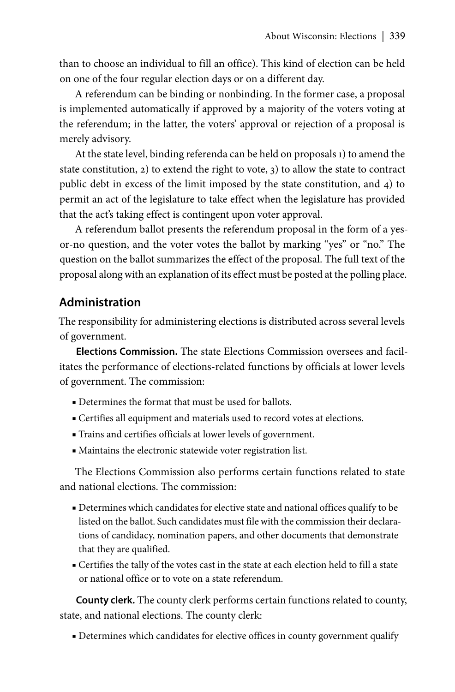than to choose an individual to fill an office). This kind of election can be held on one of the four regular election days or on a different day.

A referendum can be binding or nonbinding. In the former case, a proposal is implemented automatically if approved by a majority of the voters voting at the referendum; in the latter, the voters' approval or rejection of a proposal is merely advisory.

At the state level, binding referenda can be held on proposals 1) to amend the state constitution, 2) to extend the right to vote, 3) to allow the state to contract public debt in excess of the limit imposed by the state constitution, and 4) to permit an act of the legislature to take effect when the legislature has provided that the act's taking effect is contingent upon voter approval.

A referendum ballot presents the referendum proposal in the form of a yesor-no question, and the voter votes the ballot by marking "yes" or "no." The question on the ballot summarizes the effect of the proposal. The full text of the proposal along with an explanation of its effect must be posted at the polling place.

# **Administration**

The responsibility for administering elections is distributed across several levels of government.

**Elections Commission.** The state Elections Commission oversees and facilitates the performance of elections-related functions by officials at lower levels of government. The commission:

- Determines the format that must be used for ballots.
- Certifies all equipment and materials used to record votes at elections.
- Trains and certifies officials at lower levels of government.
- Maintains the electronic statewide voter registration list.

The Elections Commission also performs certain functions related to state and national elections. The commission:

- Determines which candidates for elective state and national offices qualify to be listed on the ballot. Such candidates must file with the commission their declarations of candidacy, nomination papers, and other documents that demonstrate that they are qualified.
- Certifies the tally of the votes cast in the state at each election held to fill a state or national office or to vote on a state referendum.

**County clerk.** The county clerk performs certain functions related to county, state, and national elections. The county clerk:

■ Determines which candidates for elective offices in county government qualify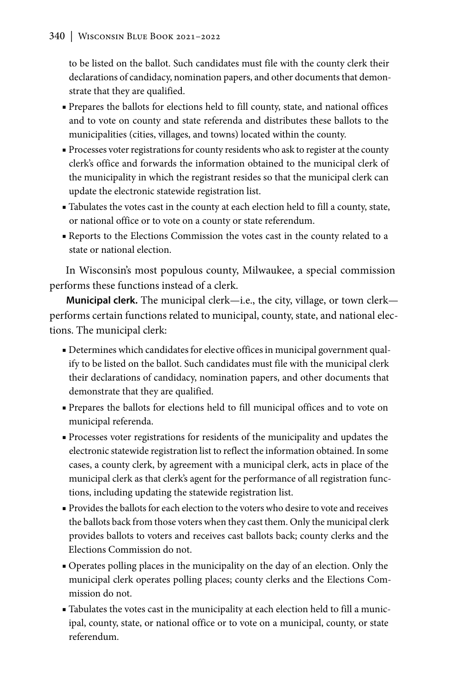to be listed on the ballot. Such candidates must file with the county clerk their declarations of candidacy, nomination papers, and other documents that demonstrate that they are qualified.

- Prepares the ballots for elections held to fill county, state, and national offices and to vote on county and state referenda and distributes these ballots to the municipalities (cities, villages, and towns) located within the county.
- Processes voter registrations for county residents who ask to register at the county clerk's office and forwards the information obtained to the municipal clerk of the municipality in which the registrant resides so that the municipal clerk can update the electronic statewide registration list.
- Tabulates the votes cast in the county at each election held to fill a county, state, or national office or to vote on a county or state referendum.
- Reports to the Elections Commission the votes cast in the county related to a state or national election.

In Wisconsin's most populous county, Milwaukee, a special commission performs these functions instead of a clerk.

**Municipal clerk.** The municipal clerk—i.e., the city, village, or town clerk performs certain functions related to municipal, county, state, and national elections. The municipal clerk:

- Determines which candidates for elective offices in municipal government qualify to be listed on the ballot. Such candidates must file with the municipal clerk their declarations of candidacy, nomination papers, and other documents that demonstrate that they are qualified.
- Prepares the ballots for elections held to fill municipal offices and to vote on municipal referenda.
- Processes voter registrations for residents of the municipality and updates the electronic statewide registration list to reflect the information obtained. In some cases, a county clerk, by agreement with a municipal clerk, acts in place of the municipal clerk as that clerk's agent for the performance of all registration functions, including updating the statewide registration list.
- Provides the ballots for each election to the voters who desire to vote and receives the ballots back from those voters when they cast them. Only the municipal clerk provides ballots to voters and receives cast ballots back; county clerks and the Elections Commission do not.
- Operates polling places in the municipality on the day of an election. Only the municipal clerk operates polling places; county clerks and the Elections Commission do not.
- Tabulates the votes cast in the municipality at each election held to fill a municipal, county, state, or national office or to vote on a municipal, county, or state referendum.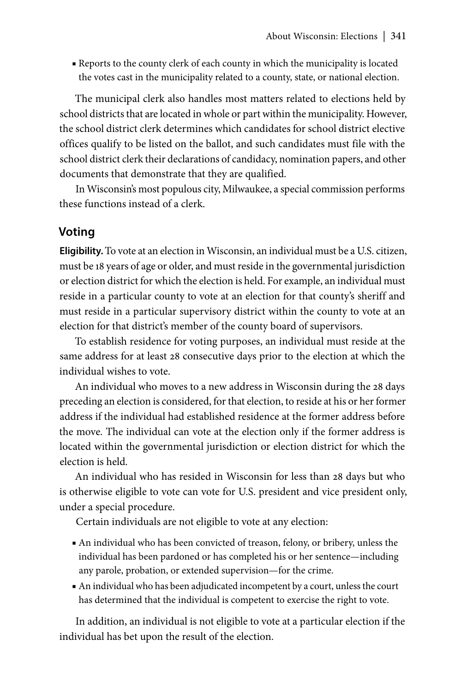■ Reports to the county clerk of each county in which the municipality is located the votes cast in the municipality related to a county, state, or national election.

The municipal clerk also handles most matters related to elections held by school districts that are located in whole or part within the municipality. However, the school district clerk determines which candidates for school district elective offices qualify to be listed on the ballot, and such candidates must file with the school district clerk their declarations of candidacy, nomination papers, and other documents that demonstrate that they are qualified.

In Wisconsin's most populous city, Milwaukee, a special commission performs these functions instead of a clerk.

# **Voting**

**Eligibility.** To vote at an election in Wisconsin, an individual must be a U.S. citizen, must be 18 years of age or older, and must reside in the governmental jurisdiction or election district for which the election is held. For example, an individual must reside in a particular county to vote at an election for that county's sheriff and must reside in a particular supervisory district within the county to vote at an election for that district's member of the county board of supervisors.

To establish residence for voting purposes, an individual must reside at the same address for at least 28 consecutive days prior to the election at which the individual wishes to vote.

An individual who moves to a new address in Wisconsin during the 28 days preceding an election is considered, for that election, to reside at his or her former address if the individual had established residence at the former address before the move. The individual can vote at the election only if the former address is located within the governmental jurisdiction or election district for which the election is held.

An individual who has resided in Wisconsin for less than 28 days but who is otherwise eligible to vote can vote for U.S. president and vice president only, under a special procedure.

Certain individuals are not eligible to vote at any election:

- An individual who has been convicted of treason, felony, or bribery, unless the individual has been pardoned or has completed his or her sentence—including any parole, probation, or extended supervision—for the crime.
- An individual who has been adjudicated incompetent by a court, unless the court has determined that the individual is competent to exercise the right to vote.

In addition, an individual is not eligible to vote at a particular election if the individual has bet upon the result of the election.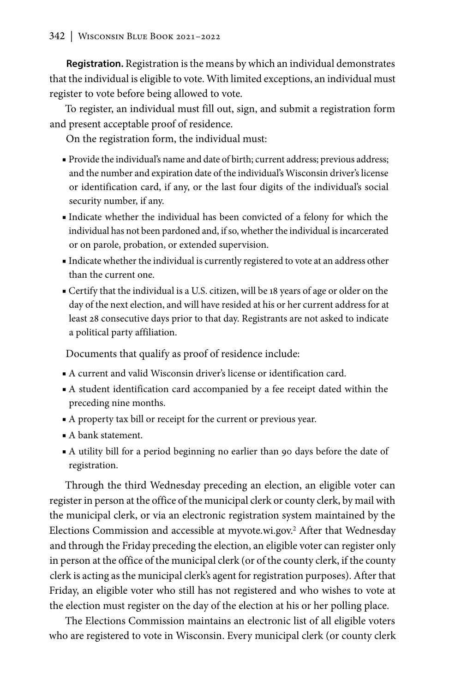**Registration.** Registration is the means by which an individual demonstrates that the individual is eligible to vote. With limited exceptions, an individual must register to vote before being allowed to vote.

To register, an individual must fill out, sign, and submit a registration form and present acceptable proof of residence.

On the registration form, the individual must:

- Provide the individual's name and date of birth; current address; previous address; and the number and expiration date of the individual's Wisconsin driver's license or identification card, if any, or the last four digits of the individual's social security number, if any.
- Indicate whether the individual has been convicted of a felony for which the individual has not been pardoned and, if so, whether the individual is incarcerated or on parole, probation, or extended supervision.
- Indicate whether the individual is currently registered to vote at an address other than the current one.
- Certify that the individual is a U.S. citizen, will be 18 years of age or older on the day of the next election, and will have resided at his or her current address for at least 28 consecutive days prior to that day. Registrants are not asked to indicate a political party affiliation.

Documents that qualify as proof of residence include:

- A current and valid Wisconsin driver's license or identification card.
- A student identification card accompanied by a fee receipt dated within the preceding nine months.
- A property tax bill or receipt for the current or previous year.
- A bank statement.
- A utility bill for a period beginning no earlier than 90 days before the date of registration.

Through the third Wednesday preceding an election, an eligible voter can register in person at the office of the municipal clerk or county clerk, by mail with the municipal clerk, or via an electronic registration system maintained by the Elections Commission and accessible at myvote.wi.gov.2 After that Wednesday and through the Friday preceding the election, an eligible voter can register only in person at the office of the municipal clerk (or of the county clerk, if the county clerk is acting as the municipal clerk's agent for registration purposes). After that Friday, an eligible voter who still has not registered and who wishes to vote at the election must register on the day of the election at his or her polling place.

The Elections Commission maintains an electronic list of all eligible voters who are registered to vote in Wisconsin. Every municipal clerk (or county clerk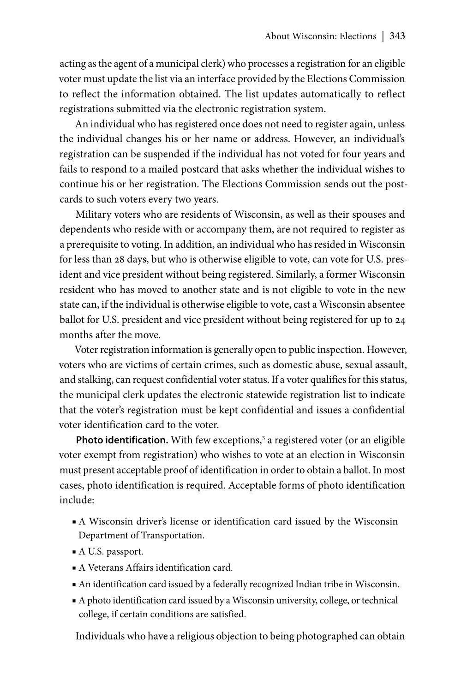acting as the agent of a municipal clerk) who processes a registration for an eligible voter must update the list via an interface provided by the Elections Commission to reflect the information obtained. The list updates automatically to reflect registrations submitted via the electronic registration system.

An individual who has registered once does not need to register again, unless the individual changes his or her name or address. However, an individual's registration can be suspended if the individual has not voted for four years and fails to respond to a mailed postcard that asks whether the individual wishes to continue his or her registration. The Elections Commission sends out the postcards to such voters every two years.

Military voters who are residents of Wisconsin, as well as their spouses and dependents who reside with or accompany them, are not required to register as a prerequisite to voting. In addition, an individual who has resided in Wisconsin for less than 28 days, but who is otherwise eligible to vote, can vote for U.S. president and vice president without being registered. Similarly, a former Wisconsin resident who has moved to another state and is not eligible to vote in the new state can, if the individual is otherwise eligible to vote, cast a Wisconsin absentee ballot for U.S. president and vice president without being registered for up to 24 months after the move.

Voter registration information is generally open to public inspection. However, voters who are victims of certain crimes, such as domestic abuse, sexual assault, and stalking, can request confidential voter status. If a voter qualifies for this status, the municipal clerk updates the electronic statewide registration list to indicate that the voter's registration must be kept confidential and issues a confidential voter identification card to the voter.

Photo identification. With few exceptions,<sup>3</sup> a registered voter (or an eligible voter exempt from registration) who wishes to vote at an election in Wisconsin must present acceptable proof of identification in order to obtain a ballot. In most cases, photo identification is required. Acceptable forms of photo identification include:

- A Wisconsin driver's license or identification card issued by the Wisconsin Department of Transportation.
- A U.S. passport.
- A Veterans Affairs identification card.
- An identification card issued by a federally recognized Indian tribe in Wisconsin.
- A photo identification card issued by a Wisconsin university, college, or technical college, if certain conditions are satisfied.

Individuals who have a religious objection to being photographed can obtain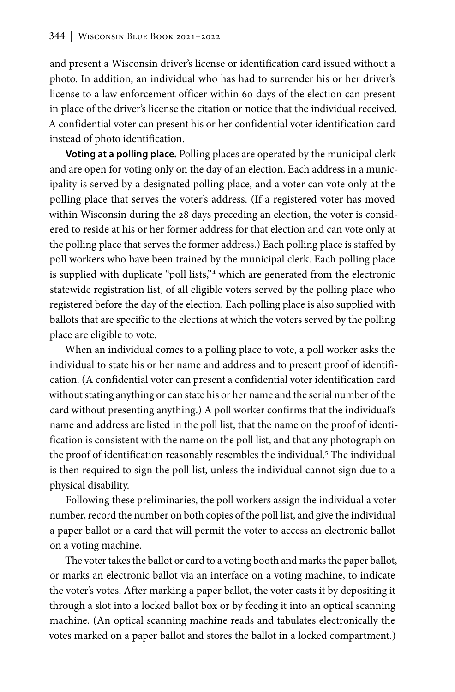and present a Wisconsin driver's license or identification card issued without a photo. In addition, an individual who has had to surrender his or her driver's license to a law enforcement officer within 60 days of the election can present in place of the driver's license the citation or notice that the individual received. A confidential voter can present his or her confidential voter identification card instead of photo identification.

**Voting at a polling place.** Polling places are operated by the municipal clerk and are open for voting only on the day of an election. Each address in a municipality is served by a designated polling place, and a voter can vote only at the polling place that serves the voter's address. (If a registered voter has moved within Wisconsin during the 28 days preceding an election, the voter is considered to reside at his or her former address for that election and can vote only at the polling place that serves the former address.) Each polling place is staffed by poll workers who have been trained by the municipal clerk. Each polling place is supplied with duplicate "poll lists,"<sup>4</sup> which are generated from the electronic statewide registration list, of all eligible voters served by the polling place who registered before the day of the election. Each polling place is also supplied with ballots that are specific to the elections at which the voters served by the polling place are eligible to vote.

When an individual comes to a polling place to vote, a poll worker asks the individual to state his or her name and address and to present proof of identification. (A confidential voter can present a confidential voter identification card without stating anything or can state his or her name and the serial number of the card without presenting anything.) A poll worker confirms that the individual's name and address are listed in the poll list, that the name on the proof of identification is consistent with the name on the poll list, and that any photograph on the proof of identification reasonably resembles the individual.<sup>5</sup> The individual is then required to sign the poll list, unless the individual cannot sign due to a physical disability.

Following these preliminaries, the poll workers assign the individual a voter number, record the number on both copies of the poll list, and give the individual a paper ballot or a card that will permit the voter to access an electronic ballot on a voting machine.

The voter takes the ballot or card to a voting booth and marks the paper ballot, or marks an electronic ballot via an interface on a voting machine, to indicate the voter's votes. After marking a paper ballot, the voter casts it by depositing it through a slot into a locked ballot box or by feeding it into an optical scanning machine. (An optical scanning machine reads and tabulates electronically the votes marked on a paper ballot and stores the ballot in a locked compartment.)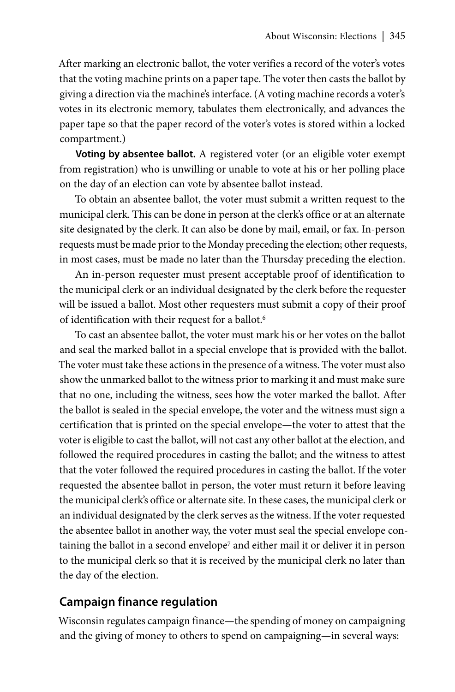After marking an electronic ballot, the voter verifies a record of the voter's votes that the voting machine prints on a paper tape. The voter then casts the ballot by giving a direction via the machine's interface. (A voting machine records a voter's votes in its electronic memory, tabulates them electronically, and advances the paper tape so that the paper record of the voter's votes is stored within a locked compartment.)

**Voting by absentee ballot.** A registered voter (or an eligible voter exempt from registration) who is unwilling or unable to vote at his or her polling place on the day of an election can vote by absentee ballot instead.

To obtain an absentee ballot, the voter must submit a written request to the municipal clerk. This can be done in person at the clerk's office or at an alternate site designated by the clerk. It can also be done by mail, email, or fax. In-person requests must be made prior to the Monday preceding the election; other requests, in most cases, must be made no later than the Thursday preceding the election.

An in-person requester must present acceptable proof of identification to the municipal clerk or an individual designated by the clerk before the requester will be issued a ballot. Most other requesters must submit a copy of their proof of identification with their request for a ballot.<sup>6</sup>

To cast an absentee ballot, the voter must mark his or her votes on the ballot and seal the marked ballot in a special envelope that is provided with the ballot. The voter must take these actions in the presence of a witness. The voter must also show the unmarked ballot to the witness prior to marking it and must make sure that no one, including the witness, sees how the voter marked the ballot. After the ballot is sealed in the special envelope, the voter and the witness must sign a certification that is printed on the special envelope—the voter to attest that the voter is eligible to cast the ballot, will not cast any other ballot at the election, and followed the required procedures in casting the ballot; and the witness to attest that the voter followed the required procedures in casting the ballot. If the voter requested the absentee ballot in person, the voter must return it before leaving the municipal clerk's office or alternate site. In these cases, the municipal clerk or an individual designated by the clerk serves as the witness. If the voter requested the absentee ballot in another way, the voter must seal the special envelope containing the ballot in a second envelope<sup>7</sup> and either mail it or deliver it in person to the municipal clerk so that it is received by the municipal clerk no later than the day of the election.

# **Campaign finance regulation**

Wisconsin regulates campaign finance—the spending of money on campaigning and the giving of money to others to spend on campaigning—in several ways: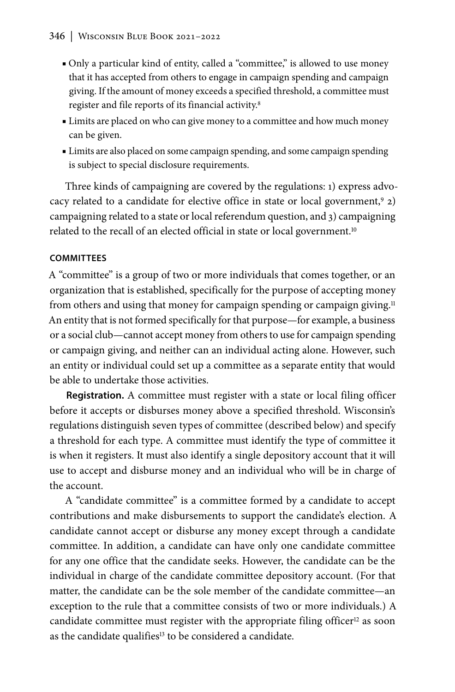- Only a particular kind of entity, called a "committee," is allowed to use money that it has accepted from others to engage in campaign spending and campaign giving. If the amount of money exceeds a specified threshold, a committee must register and file reports of its financial activity.8
- Limits are placed on who can give money to a committee and how much money can be given.
- Limits are also placed on some campaign spending, and some campaign spending is subject to special disclosure requirements.

Three kinds of campaigning are covered by the regulations: 1) express advocacy related to a candidate for elective office in state or local government, $9$  2) campaigning related to a state or local referendum question, and 3) campaigning related to the recall of an elected official in state or local government.<sup>10</sup>

### **COMMITTEES**

A "committee" is a group of two or more individuals that comes together, or an organization that is established, specifically for the purpose of accepting money from others and using that money for campaign spending or campaign giving.<sup>11</sup> An entity that is not formed specifically for that purpose—for example, a business or a social club—cannot accept money from others to use for campaign spending or campaign giving, and neither can an individual acting alone. However, such an entity or individual could set up a committee as a separate entity that would be able to undertake those activities.

**Registration.** A committee must register with a state or local filing officer before it accepts or disburses money above a specified threshold. Wisconsin's regulations distinguish seven types of committee (described below) and specify a threshold for each type. A committee must identify the type of committee it is when it registers. It must also identify a single depository account that it will use to accept and disburse money and an individual who will be in charge of the account.

A "candidate committee" is a committee formed by a candidate to accept contributions and make disbursements to support the candidate's election. A candidate cannot accept or disburse any money except through a candidate committee. In addition, a candidate can have only one candidate committee for any one office that the candidate seeks. However, the candidate can be the individual in charge of the candidate committee depository account. (For that matter, the candidate can be the sole member of the candidate committee—an exception to the rule that a committee consists of two or more individuals.) A candidate committee must register with the appropriate filing officer<sup>12</sup> as soon as the candidate qualifies<sup>13</sup> to be considered a candidate.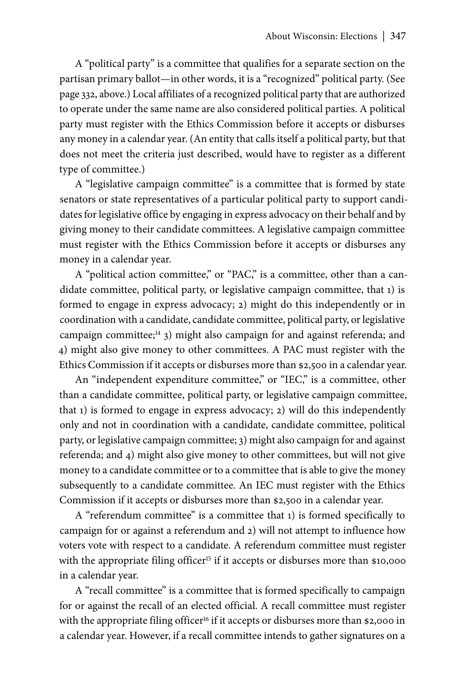A "political party" is a committee that qualifies for a separate section on the partisan primary ballot—in other words, it is a "recognized" political party. (See page 332, above.) Local affiliates of a recognized political party that are authorized to operate under the same name are also considered political parties. A political party must register with the Ethics Commission before it accepts or disburses any money in a calendar year. (An entity that calls itself a political party, but that does not meet the criteria just described, would have to register as a different type of committee.)

A "legislative campaign committee" is a committee that is formed by state senators or state representatives of a particular political party to support candidates for legislative office by engaging in express advocacy on their behalf and by giving money to their candidate committees. A legislative campaign committee must register with the Ethics Commission before it accepts or disburses any money in a calendar year.

A "political action committee," or "PAC," is a committee, other than a candidate committee, political party, or legislative campaign committee, that 1) is formed to engage in express advocacy; 2) might do this independently or in coordination with a candidate, candidate committee, political party, or legislative campaign committee;<sup>14</sup> 3) might also campaign for and against referenda; and 4) might also give money to other committees. A PAC must register with the Ethics Commission if it accepts or disburses more than \$2,500 in a calendar year.

An "independent expenditure committee," or "IEC," is a committee, other than a candidate committee, political party, or legislative campaign committee, that 1) is formed to engage in express advocacy; 2) will do this independently only and not in coordination with a candidate, candidate committee, political party, or legislative campaign committee; 3) might also campaign for and against referenda; and 4) might also give money to other committees, but will not give money to a candidate committee or to a committee that is able to give the money subsequently to a candidate committee. An IEC must register with the Ethics Commission if it accepts or disburses more than \$2,500 in a calendar year.

A "referendum committee" is a committee that 1) is formed specifically to campaign for or against a referendum and 2) will not attempt to influence how voters vote with respect to a candidate. A referendum committee must register with the appropriate filing officer<sup>15</sup> if it accepts or disburses more than \$10,000 in a calendar year.

A "recall committee" is a committee that is formed specifically to campaign for or against the recall of an elected official. A recall committee must register with the appropriate filing officer<sup>16</sup> if it accepts or disburses more than \$2,000 in a calendar year. However, if a recall committee intends to gather signatures on a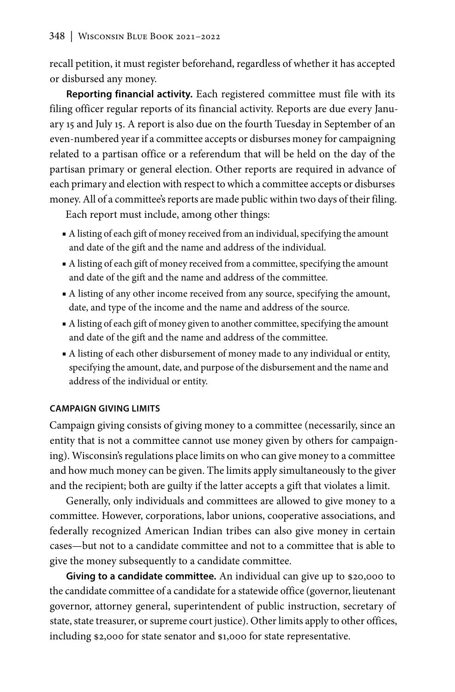recall petition, it must register beforehand, regardless of whether it has accepted or disbursed any money.

**Reporting financial activity.** Each registered committee must file with its filing officer regular reports of its financial activity. Reports are due every January 15 and July 15. A report is also due on the fourth Tuesday in September of an even-numbered year if a committee accepts or disburses money for campaigning related to a partisan office or a referendum that will be held on the day of the partisan primary or general election. Other reports are required in advance of each primary and election with respect to which a committee accepts or disburses money. All of a committee's reports are made public within two days of their filing.

Each report must include, among other things:

- A listing of each gift of money received from an individual, specifying the amount and date of the gift and the name and address of the individual.
- A listing of each gift of money received from a committee, specifying the amount and date of the gift and the name and address of the committee.
- A listing of any other income received from any source, specifying the amount, date, and type of the income and the name and address of the source.
- A listing of each gift of money given to another committee, specifying the amount and date of the gift and the name and address of the committee.
- A listing of each other disbursement of money made to any individual or entity, specifying the amount, date, and purpose of the disbursement and the name and address of the individual or entity.

### **CAMPAIGN GIVING LIMITS**

Campaign giving consists of giving money to a committee (necessarily, since an entity that is not a committee cannot use money given by others for campaigning). Wisconsin's regulations place limits on who can give money to a committee and how much money can be given. The limits apply simultaneously to the giver and the recipient; both are guilty if the latter accepts a gift that violates a limit.

Generally, only individuals and committees are allowed to give money to a committee. However, corporations, labor unions, cooperative associations, and federally recognized American Indian tribes can also give money in certain cases—but not to a candidate committee and not to a committee that is able to give the money subsequently to a candidate committee.

**Giving to a candidate committee.** An individual can give up to \$20,000 to the candidate committee of a candidate for a statewide office (governor, lieutenant governor, attorney general, superintendent of public instruction, secretary of state, state treasurer, or supreme court justice). Other limits apply to other offices, including \$2,000 for state senator and \$1,000 for state representative.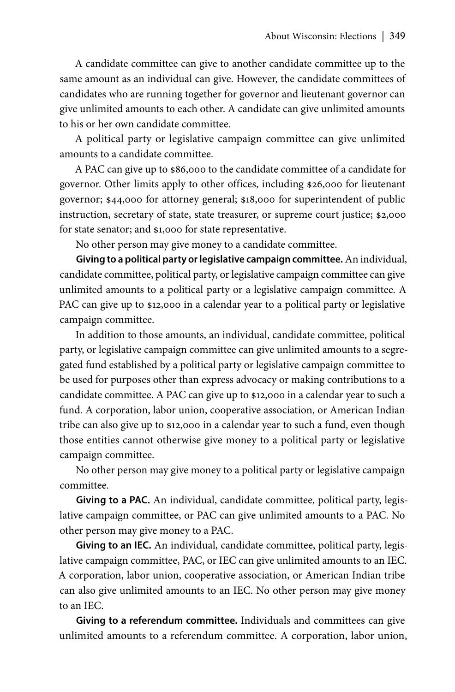A candidate committee can give to another candidate committee up to the same amount as an individual can give. However, the candidate committees of candidates who are running together for governor and lieutenant governor can give unlimited amounts to each other. A candidate can give unlimited amounts to his or her own candidate committee.

A political party or legislative campaign committee can give unlimited amounts to a candidate committee.

A PAC can give up to \$86,000 to the candidate committee of a candidate for governor. Other limits apply to other offices, including \$26,000 for lieutenant governor; \$44,000 for attorney general; \$18,000 for superintendent of public instruction, secretary of state, state treasurer, or supreme court justice; \$2,000 for state senator; and \$1,000 for state representative.

No other person may give money to a candidate committee.

**Giving to a political party or legislative campaign committee.** An individual, candidate committee, political party, or legislative campaign committee can give unlimited amounts to a political party or a legislative campaign committee. A PAC can give up to \$12,000 in a calendar year to a political party or legislative campaign committee.

In addition to those amounts, an individual, candidate committee, political party, or legislative campaign committee can give unlimited amounts to a segregated fund established by a political party or legislative campaign committee to be used for purposes other than express advocacy or making contributions to a candidate committee. A PAC can give up to \$12,000 in a calendar year to such a fund. A corporation, labor union, cooperative association, or American Indian tribe can also give up to \$12,000 in a calendar year to such a fund, even though those entities cannot otherwise give money to a political party or legislative campaign committee.

No other person may give money to a political party or legislative campaign committee.

**Giving to a PAC.** An individual, candidate committee, political party, legislative campaign committee, or PAC can give unlimited amounts to a PAC. No other person may give money to a PAC.

**Giving to an IEC.** An individual, candidate committee, political party, legislative campaign committee, PAC, or IEC can give unlimited amounts to an IEC. A corporation, labor union, cooperative association, or American Indian tribe can also give unlimited amounts to an IEC. No other person may give money to an IEC.

**Giving to a referendum committee.** Individuals and committees can give unlimited amounts to a referendum committee. A corporation, labor union,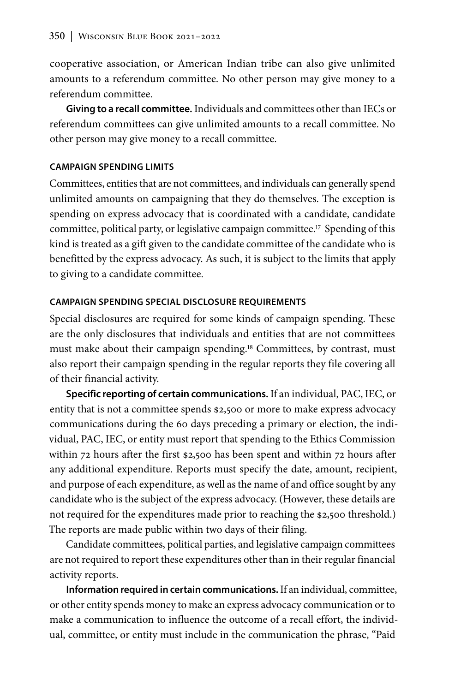cooperative association, or American Indian tribe can also give unlimited amounts to a referendum committee. No other person may give money to a referendum committee.

**Giving to a recall committee.** Individuals and committees other than IECs or referendum committees can give unlimited amounts to a recall committee. No other person may give money to a recall committee.

### **CAMPAIGN SPENDING LIMITS**

Committees, entities that are not committees, and individuals can generally spend unlimited amounts on campaigning that they do themselves. The exception is spending on express advocacy that is coordinated with a candidate, candidate committee, political party, or legislative campaign committee.<sup>17</sup> Spending of this kind is treated as a gift given to the candidate committee of the candidate who is benefitted by the express advocacy. As such, it is subject to the limits that apply to giving to a candidate committee.

### **CAMPAIGN SPENDING SPECIAL DISCLOSURE REQUIREMENTS**

Special disclosures are required for some kinds of campaign spending. These are the only disclosures that individuals and entities that are not committees must make about their campaign spending.<sup>18</sup> Committees, by contrast, must also report their campaign spending in the regular reports they file covering all of their financial activity.

**Specific reporting of certain communications.** If an individual, PAC, IEC, or entity that is not a committee spends \$2,500 or more to make express advocacy communications during the 60 days preceding a primary or election, the individual, PAC, IEC, or entity must report that spending to the Ethics Commission within 72 hours after the first \$2,500 has been spent and within 72 hours after any additional expenditure. Reports must specify the date, amount, recipient, and purpose of each expenditure, as well as the name of and office sought by any candidate who is the subject of the express advocacy. (However, these details are not required for the expenditures made prior to reaching the \$2,500 threshold.) The reports are made public within two days of their filing.

Candidate committees, political parties, and legislative campaign committees are not required to report these expenditures other than in their regular financial activity reports.

**Information required in certain communications.** If an individual, committee, or other entity spends money to make an express advocacy communication or to make a communication to influence the outcome of a recall effort, the individual, committee, or entity must include in the communication the phrase, "Paid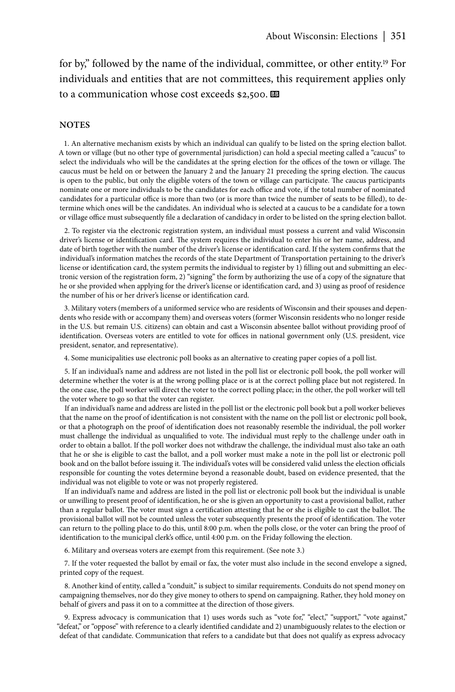for by," followed by the name of the individual, committee, or other entity.19 For individuals and entities that are not committees, this requirement applies only to a communication whose cost exceeds \$2,500.

### **NOTES**

1. An alternative mechanism exists by which an individual can qualify to be listed on the spring election ballot. A town or village (but no other type of governmental jurisdiction) can hold a special meeting called a "caucus" to select the individuals who will be the candidates at the spring election for the offices of the town or village. The caucus must be held on or between the January 2 and the January 21 preceding the spring election. The caucus is open to the public, but only the eligible voters of the town or village can participate. The caucus participants nominate one or more individuals to be the candidates for each office and vote, if the total number of nominated candidates for a particular office is more than two (or is more than twice the number of seats to be filled), to determine which ones will be the candidates. An individual who is selected at a caucus to be a candidate for a town or village office must subsequently file a declaration of candidacy in order to be listed on the spring election ballot.

2. To register via the electronic registration system, an individual must possess a current and valid Wisconsin driver's license or identification card. The system requires the individual to enter his or her name, address, and date of birth together with the number of the driver's license or identification card. If the system confirms that the individual's information matches the records of the state Department of Transportation pertaining to the driver's license or identification card, the system permits the individual to register by 1) filling out and submitting an electronic version of the registration form, 2) "signing" the form by authorizing the use of a copy of the signature that he or she provided when applying for the driver's license or identification card, and 3) using as proof of residence the number of his or her driver's license or identification card.

3. Military voters (members of a uniformed service who are residents of Wisconsin and their spouses and dependents who reside with or accompany them) and overseas voters (former Wisconsin residents who no longer reside in the U.S. but remain U.S. citizens) can obtain and cast a Wisconsin absentee ballot without providing proof of identification. Overseas voters are entitled to vote for offices in national government only (U.S. president, vice president, senator, and representative).

4. Some municipalities use electronic poll books as an alternative to creating paper copies of a poll list.

5. If an individual's name and address are not listed in the poll list or electronic poll book, the poll worker will determine whether the voter is at the wrong polling place or is at the correct polling place but not registered. In the one case, the poll worker will direct the voter to the correct polling place; in the other, the poll worker will tell the voter where to go so that the voter can register.

If an individual's name and address are listed in the poll list or the electronic poll book but a poll worker believes that the name on the proof of identification is not consistent with the name on the poll list or electronic poll book, or that a photograph on the proof of identification does not reasonably resemble the individual, the poll worker must challenge the individual as unqualified to vote. The individual must reply to the challenge under oath in order to obtain a ballot. If the poll worker does not withdraw the challenge, the individual must also take an oath that he or she is eligible to cast the ballot, and a poll worker must make a note in the poll list or electronic poll book and on the ballot before issuing it. The individual's votes will be considered valid unless the election officials responsible for counting the votes determine beyond a reasonable doubt, based on evidence presented, that the individual was not eligible to vote or was not properly registered.

If an individual's name and address are listed in the poll list or electronic poll book but the individual is unable or unwilling to present proof of identification, he or she is given an opportunity to cast a provisional ballot, rather than a regular ballot. The voter must sign a certification attesting that he or she is eligible to cast the ballot. The provisional ballot will not be counted unless the voter subsequently presents the proof of identification. The voter can return to the polling place to do this, until 8:00 p.m. when the polls close, or the voter can bring the proof of identification to the municipal clerk's office, until 4:00 p.m. on the Friday following the election.

6. Military and overseas voters are exempt from this requirement. (See note 3.)

7. If the voter requested the ballot by email or fax, the voter must also include in the second envelope a signed, printed copy of the request.

8. Another kind of entity, called a "conduit," is subject to similar requirements. Conduits do not spend money on campaigning themselves, nor do they give money to others to spend on campaigning. Rather, they hold money on behalf of givers and pass it on to a committee at the direction of those givers.

9. Express advocacy is communication that 1) uses words such as "vote for," "elect," "support," "vote against," "defeat," or "oppose" with reference to a clearly identified candidate and 2) unambiguously relates to the election or defeat of that candidate. Communication that refers to a candidate but that does not qualify as express advocacy